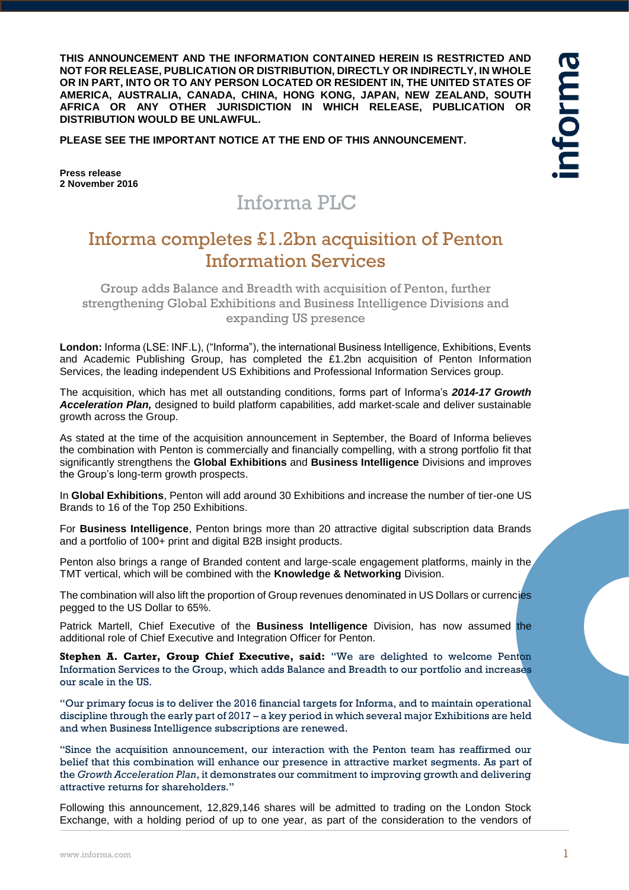**THIS ANNOUNCEMENT AND THE INFORMATION CONTAINED HEREIN IS RESTRICTED AND NOT FOR RELEASE, PUBLICATION OR DISTRIBUTION, DIRECTLY OR INDIRECTLY, IN WHOLE OR IN PART, INTO OR TO ANY PERSON LOCATED OR RESIDENT IN, THE UNITED STATES OF AMERICA, AUSTRALIA, CANADA, CHINA, HONG KONG, JAPAN, NEW ZEALAND, SOUTH AFRICA OR ANY OTHER JURISDICTION IN WHICH RELEASE, PUBLICATION OR DISTRIBUTION WOULD BE UNLAWFUL.**

**PLEASE SEE THE IMPORTANT NOTICE AT THE END OF THIS ANNOUNCEMENT.**

**Press release 2 November 2016**

# Informa PLC

## Informa completes £1.2bn acquisition of Penton Information Services

Group adds Balance and Breadth with acquisition of Penton, further strengthening Global Exhibitions and Business Intelligence Divisions and expanding US presence

**London:** Informa (LSE: INF.L), ("Informa"), the international Business Intelligence, Exhibitions, Events and Academic Publishing Group, has completed the £1.2bn acquisition of Penton Information Services, the leading independent US Exhibitions and Professional Information Services group.

The acquisition, which has met all outstanding conditions, forms part of Informa's *2014-17 Growth Acceleration Plan,* designed to build platform capabilities, add market-scale and deliver sustainable growth across the Group.

As stated at the time of the acquisition announcement in September, the Board of Informa believes the combination with Penton is commercially and financially compelling, with a strong portfolio fit that significantly strengthens the **Global Exhibitions** and **Business Intelligence** Divisions and improves the Group's long-term growth prospects.

In **Global Exhibitions**, Penton will add around 30 Exhibitions and increase the number of tier-one US Brands to 16 of the Top 250 Exhibitions.

For **Business Intelligence**, Penton brings more than 20 attractive digital subscription data Brands and a portfolio of 100+ print and digital B2B insight products.

Penton also brings a range of Branded content and large-scale engagement platforms, mainly in the TMT vertical, which will be combined with the **Knowledge & Networking** Division.

The combination will also lift the proportion of Group revenues denominated in US Dollars or currencies pegged to the US Dollar to 65%.

Patrick Martell, Chief Executive of the **Business Intelligence** Division, has now assumed the additional role of Chief Executive and Integration Officer for Penton.

**Stephen A. Carter, Group Chief Executive, said:** "We are delighted to welcome Penton Information Services to the Group, which adds Balance and Breadth to our portfolio and increases our scale in the US.

"Our primary focus is to deliver the 2016 financial targets for Informa, and to maintain operational discipline through the early part of 2017 – a key period in which several major Exhibitions are held and when Business Intelligence subscriptions are renewed.

"Since the acquisition announcement, our interaction with the Penton team has reaffirmed our belief that this combination will enhance our presence in attractive market segments. As part of the *Growth Acceleration Plan*, it demonstrates our commitment to improving growth and delivering attractive returns for shareholders."

Following this announcement, 12,829,146 shares will be admitted to trading on the London Stock Exchange, with a holding period of up to one year, as part of the consideration to the vendors of nforma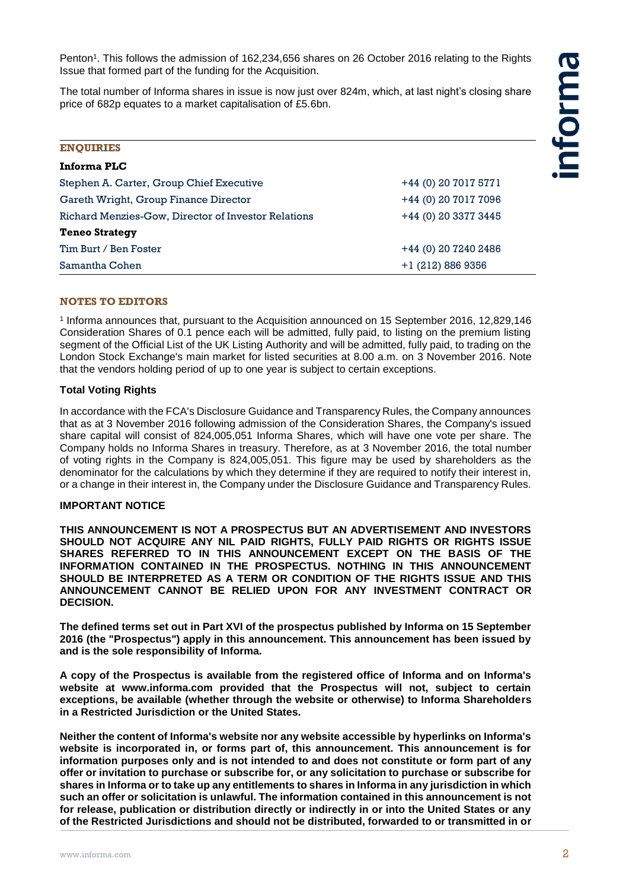Penton<sup>1</sup>. This follows the admission of 162,234,656 shares on 26 October 2016 relating to the Rights Issue that formed part of the funding for the Acquisition.

The total number of Informa shares in issue is now just over 824m, which, at last night's closing share price of 682p equates to a market capitalisation of £5.6bn.

| <b>ENQUIRIES</b>                                    |                      |
|-----------------------------------------------------|----------------------|
| Informa PLC                                         |                      |
| Stephen A. Carter, Group Chief Executive            | +44 (0) 20 7017 5771 |
| Gareth Wright, Group Finance Director               | +44 (0) 20 7017 7096 |
| Richard Menzies-Gow, Director of Investor Relations | +44 (0) 20 3377 3445 |
| <b>Teneo Strategy</b>                               |                      |
| Tim Burt / Ben Foster                               | +44 (0) 20 7240 2486 |
| Samantha Cohen                                      | $+1$ (212) 886 9356  |

#### **NOTES TO EDITORS**

1 Informa announces that, pursuant to the Acquisition announced on 15 September 2016, 12,829,146 Consideration Shares of 0.1 pence each will be admitted, fully paid, to listing on the premium listing segment of the Official List of the UK Listing Authority and will be admitted, fully paid, to trading on the London Stock Exchange's main market for listed securities at 8.00 a.m. on 3 November 2016. Note that the vendors holding period of up to one year is subject to certain exceptions.

#### **Total Voting Rights**

In accordance with the FCA's Disclosure Guidance and Transparency Rules, the Company announces that as at 3 November 2016 following admission of the Consideration Shares, the Company's issued share capital will consist of 824,005,051 Informa Shares, which will have one vote per share. The Company holds no Informa Shares in treasury. Therefore, as at 3 November 2016, the total number of voting rights in the Company is 824,005,051. This figure may be used by shareholders as the denominator for the calculations by which they determine if they are required to notify their interest in, or a change in their interest in, the Company under the Disclosure Guidance and Transparency Rules.

### **IMPORTANT NOTICE**

**THIS ANNOUNCEMENT IS NOT A PROSPECTUS BUT AN ADVERTISEMENT AND INVESTORS SHOULD NOT ACQUIRE ANY NIL PAID RIGHTS, FULLY PAID RIGHTS OR RIGHTS ISSUE SHARES REFERRED TO IN THIS ANNOUNCEMENT EXCEPT ON THE BASIS OF THE INFORMATION CONTAINED IN THE PROSPECTUS. NOTHING IN THIS ANNOUNCEMENT SHOULD BE INTERPRETED AS A TERM OR CONDITION OF THE RIGHTS ISSUE AND THIS ANNOUNCEMENT CANNOT BE RELIED UPON FOR ANY INVESTMENT CONTRACT OR DECISION.** 

**The defined terms set out in Part XVI of the prospectus published by Informa on 15 September 2016 (the "Prospectus") apply in this announcement. This announcement has been issued by and is the sole responsibility of Informa.**

**A copy of the Prospectus is available from the registered office of Informa and on Informa's website at www.informa.com provided that the Prospectus will not, subject to certain exceptions, be available (whether through the website or otherwise) to Informa Shareholders in a Restricted Jurisdiction or the United States.** 

**Neither the content of Informa's website nor any website accessible by hyperlinks on Informa's website is incorporated in, or forms part of, this announcement. This announcement is for information purposes only and is not intended to and does not constitute or form part of any offer or invitation to purchase or subscribe for, or any solicitation to purchase or subscribe for shares in Informa or to take up any entitlements to shares in Informa in any jurisdiction in which such an offer or solicitation is unlawful. The information contained in this announcement is not for release, publication or distribution directly or indirectly in or into the United States or any of the Restricted Jurisdictions and should not be distributed, forwarded to or transmitted in or**